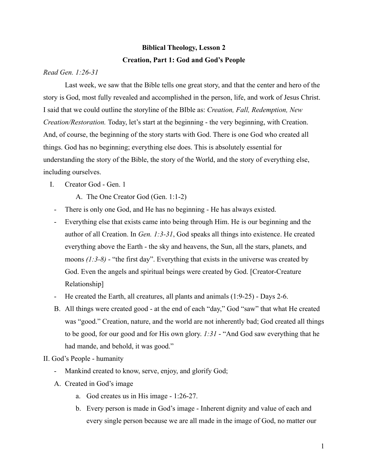## **Biblical Theology, Lesson 2 Creation, Part 1: God and God's People**

## *Read Gen. 1:26-31*

Last week, we saw that the Bible tells one great story, and that the center and hero of the story is God, most fully revealed and accomplished in the person, life, and work of Jesus Christ. I said that we could outline the storyline of the BIble as: *Creation, Fall, Redemption, New Creation/Restoration.* Today, let's start at the beginning - the very beginning, with Creation. And, of course, the beginning of the story starts with God. There is one God who created all things. God has no beginning; everything else does. This is absolutely essential for understanding the story of the Bible, the story of the World, and the story of everything else, including ourselves.

## I. Creator God - Gen. 1

A. The One Creator God (Gen. 1:1-2)

- There is only one God, and He has no beginning He has always existed.
- Everything else that exists came into being through Him. He is our beginning and the author of all Creation. In *Gen. 1:3-31*, God speaks all things into existence. He created everything above the Earth - the sky and heavens, the Sun, all the stars, planets, and moons *(1:3-8)* - "the first day". Everything that exists in the universe was created by God. Even the angels and spiritual beings were created by God. [Creator-Creature Relationship]
- He created the Earth, all creatures, all plants and animals (1:9-25) Days 2-6.
- B. All things were created good at the end of each "day," God "saw" that what He created was "good." Creation, nature, and the world are not inherently bad; God created all things to be good, for our good and for His own glory. *1:31* - "And God saw everything that he had mande, and behold, it was good."

## II. God's People - humanity

- Mankind created to know, serve, enjoy, and glorify God;
- A. Created in God's image
	- a. God creates us in His image 1:26-27.
	- b. Every person is made in God's image Inherent dignity and value of each and every single person because we are all made in the image of God, no matter our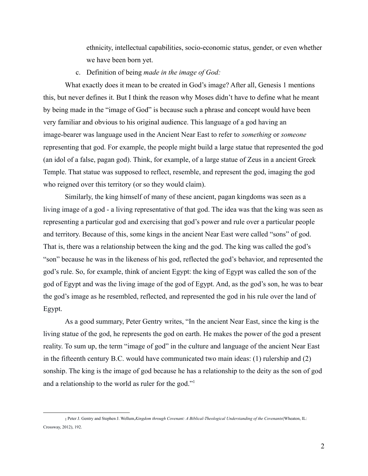ethnicity, intellectual capabilities, socio-economic status, gender, or even whether we have been born yet.

c. Definition of being *made in the image of God:*

What exactly does it mean to be created in God's image? After all, Genesis 1 mentions this, but never defines it. But I think the reason why Moses didn't have to define what he meant by being made in the "image of God" is because such a phrase and concept would have been very familiar and obvious to his original audience. This language of a god having an image-bearer was language used in the Ancient Near East to refer to *something* or *someone* representing that god. For example, the people might build a large statue that represented the god (an idol of a false, pagan god). Think, for example, of a large statue of Zeus in a ancient Greek Temple. That statue was supposed to reflect, resemble, and represent the god, imaging the god who reigned over this territory (or so they would claim).

Similarly, the king himself of many of these ancient, pagan kingdoms was seen as a living image of a god - a living representative of that god. The idea was that the king was seen as representing a particular god and exercising that god's power and rule over a particular people and territory. Because of this, some kings in the ancient Near East were called "sons" of god. That is, there was a relationship between the king and the god. The king was called the god's "son" because he was in the likeness of his god, reflected the god's behavior, and represented the god's rule. So, for example, think of ancient Egypt: the king of Egypt was called the son of the god of Egypt and was the living image of the god of Egypt. And, as the god's son, he was to bear the god's image as he resembled, reflected, and represented the god in his rule over the land of Egypt.

As a good summary, Peter Gentry writes, "In the ancient Near East, since the king is the living statue of the god, he represents the god on earth. He makes the power of the god a present reality. To sum up, the term "image of god" in the culture and language of the ancient Near East in the fifteenth century B.C. would have communicated two main ideas: (1) rulership and (2) sonship. The king is the image of god because he has a relationship to the deity as the son of god and a relationship to the world as ruler for the god."<sup>1</sup>

<sup>1</sup> Peter J. Gentry and Stephen J. Wellum,*Kingdom through Covenant: A Biblical-Theological Understanding of the Covenants*(Wheaton, IL: Crossway, 2012), 192.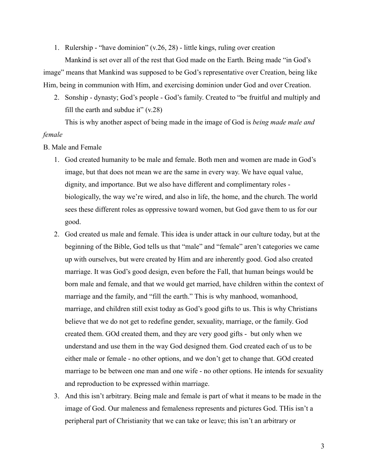1. Rulership - "have dominion" (v.26, 28) - little kings, ruling over creation

Mankind is set over all of the rest that God made on the Earth. Being made "in God's image" means that Mankind was supposed to be God's representative over Creation, being like Him, being in communion with Him, and exercising dominion under God and over Creation.

2. Sonship - dynasty; God's people - God's family. Created to "be fruitful and multiply and fill the earth and subdue it"  $(v.28)$ 

This is why another aspect of being made in the image of God is *being made male and female*

- B. Male and Female
	- 1. God created humanity to be male and female. Both men and women are made in God's image, but that does not mean we are the same in every way. We have equal value, dignity, and importance. But we also have different and complimentary roles biologically, the way we're wired, and also in life, the home, and the church. The world sees these different roles as oppressive toward women, but God gave them to us for our good.
	- 2. God created us male and female. This idea is under attack in our culture today, but at the beginning of the Bible, God tells us that "male" and "female" aren't categories we came up with ourselves, but were created by Him and are inherently good. God also created marriage. It was God's good design, even before the Fall, that human beings would be born male and female, and that we would get married, have children within the context of marriage and the family, and "fill the earth." This is why manhood, womanhood, marriage, and children still exist today as God's good gifts to us. This is why Christians believe that we do not get to redefine gender, sexuality, marriage, or the family. God created them. GOd created them, and they are very good gifts - but only when we understand and use them in the way God designed them. God created each of us to be either male or female - no other options, and we don't get to change that. GOd created marriage to be between one man and one wife - no other options. He intends for sexuality and reproduction to be expressed within marriage.
	- 3. And this isn't arbitrary. Being male and female is part of what it means to be made in the image of God. Our maleness and femaleness represents and pictures God. THis isn't a peripheral part of Christianity that we can take or leave; this isn't an arbitrary or